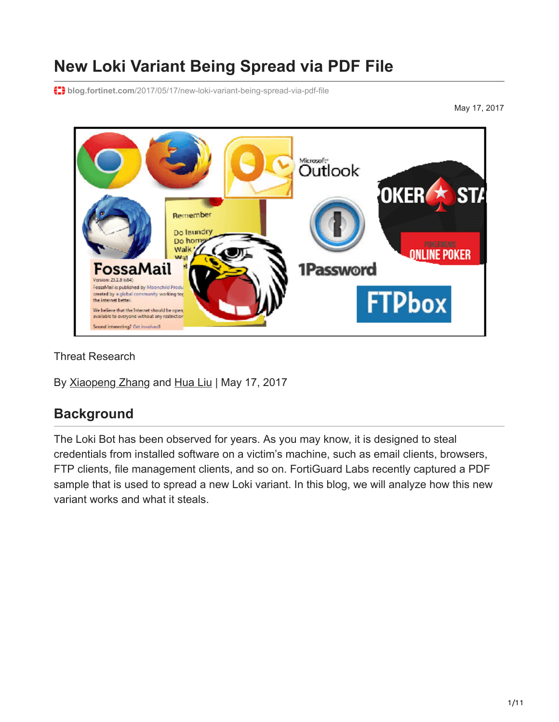# **New Loki Variant Being Spread via PDF File**

**blog.fortinet.com**[/2017/05/17/new-loki-variant-being-spread-via-pdf-file](https://blog.fortinet.com/2017/05/17/new-loki-variant-being-spread-via-pdf-file)

May 17, 2017



Threat Research

By [Xiaopeng Zhang](https://blog.fortinet.com/blog/search?author=Xiaopeng+Zhang) and [Hua Liu](https://blog.fortinet.com/blog/search?author=Hua+Liu) | May 17, 2017

### **Background**

The Loki Bot has been observed for years. As you may know, it is designed to steal credentials from installed software on a victim's machine, such as email clients, browsers, FTP clients, file management clients, and so on. FortiGuard Labs recently captured a PDF sample that is used to spread a new Loki variant. In this blog, we will analyze how this new variant works and what it steals.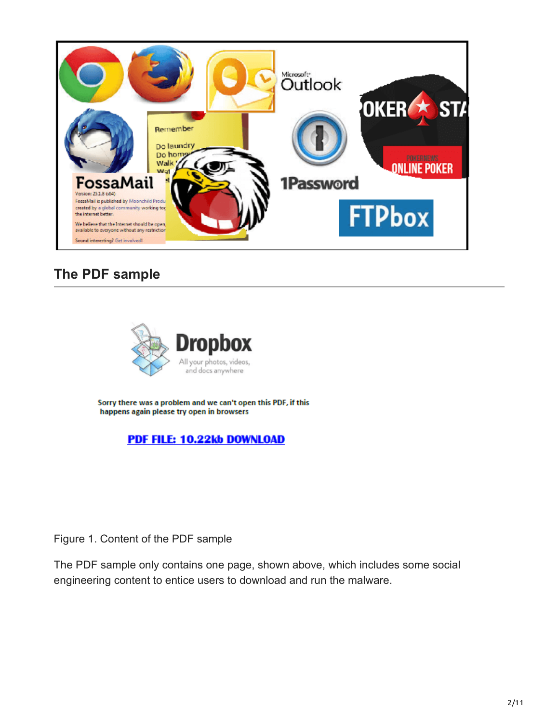

## **The PDF sample**



Sorry there was a problem and we can't open this PDF, if this happens again please try open in browsers

PDF FILE: 10.22kb DOWNLOAD

Figure 1. Content of the PDF sample

The PDF sample only contains one page, shown above, which includes some social engineering content to entice users to download and run the malware.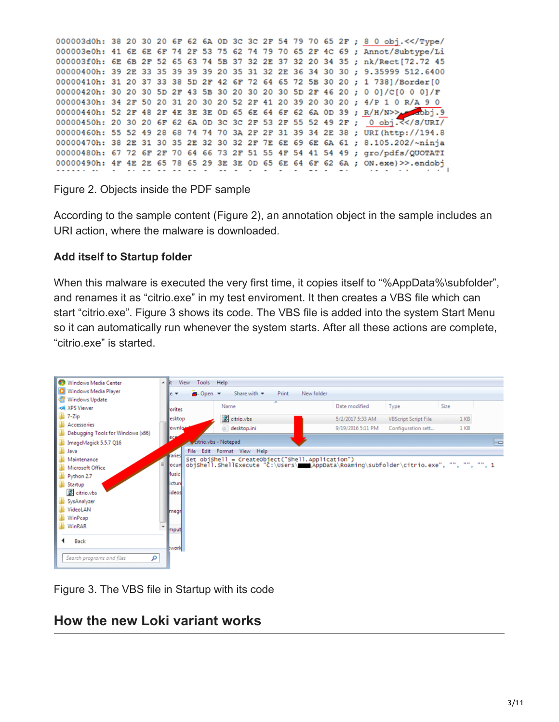000003d0h: 38 20 30 20 6F 62 6A 0D 3C 3C 2F 54 79 70 65 2F ; 8 0 obj. << /Type/ 000003e0h: 41 6E 6E 6F 74 2F 53 75 62 74 79 70 65 2F 4C 69 ; Annot/Subtype/Li 000003f0h: 6E 6B 2F 52 65 63 74 5B 37 32 2E 37 32 20 34 35 ; nk/Rect[72.72 45 00000400h: 39 2E 33 35 39 39 39 20 35 31 32 2E 36 34 30 30 ; 9.35999 512.6400 00000410h: 31 20 37 33 38 5D 2F 42 6F 72 64 65 72 5B 30 20 : 1 7381/Border[0 00000420h: 30 20 30 5D 2F 43 5B 30 20 30 20 30 5D 2F 46 20 ; 0 0]/C[0 0 0]/F 00000430h: 34 2F 50 20 31 20 30 20 52 2F 41 20 39 20 30 20 ; 4/P 1 0 R/A 9 0 00000440h: 52 2F 48 2F 4E 3E 3E 0D 65 6E 64 6F 62 6A 0D 39 ; R/H/N>> 00000450h: 20 30 20 6F 62 6A 0D 3C 3C 2F 53 2F 55 52 49 2F; 0 obj. < / 8/URI/ 00000460h: 55 52 49 28 68 74 74 70 3A 2F 2F 31 39 34 2E 38 ; URI (http://194.8 00000470h: 38 2E 31 30 35 2E 32 30 32 2F 7E 6E 69 6E 6A 61 ; 8.105.202/~ninja 00000480h: 67 72 6F 2F 70 64 66 73 2F 51 55 4F 54 41 54 49 ; gro/pdfs/QUOTATI 00000490h: 4F 4E 2E 65 78 65 29 3E 3E 0D 65 6E 64 6F 62 6A ; ON.exe) >>.endobj

Figure 2. Objects inside the PDF sample

According to the sample content (Figure 2), an annotation object in the sample includes an URI action, where the malware is downloaded.

#### **Add itself to Startup folder**

When this malware is executed the very first time, it copies itself to "%AppData%\subfolder", and renames it as "citrio.exe" in my test enviroment. It then creates a VBS file which can start "citrio.exe". Figure 3 shows its code. The VBS file is added into the system Start Menu so it can automatically run whenever the system starts. After all these actions are complete, "citrio.exe" is started.



Figure 3. The VBS file in Startup with its code

### **How the new Loki variant works**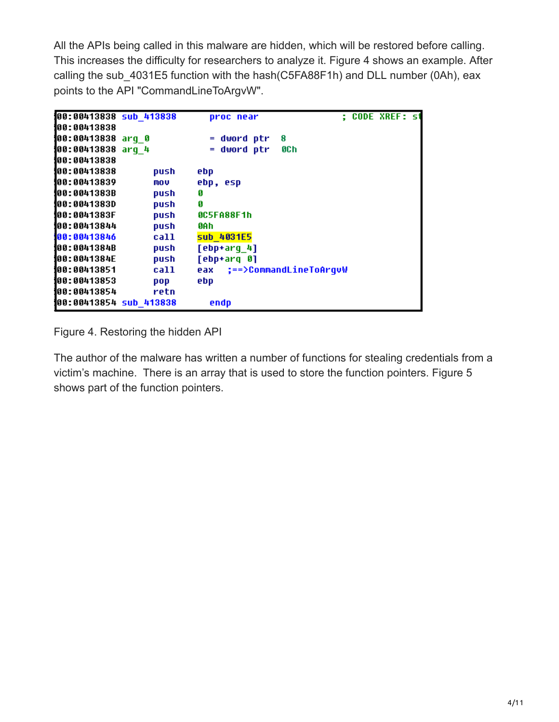All the APIs being called in this malware are hidden, which will be restored before calling. This increases the difficulty for researchers to analyze it. Figure 4 shows an example. After calling the sub 4031E5 function with the hash(C5FA88F1h) and DLL number (0Ah), eax points to the API "CommandLineToArgvW".

| 00:00413838 sub 413838 |      | proc near                  | <b>: CODE XREF: st</b> |
|------------------------|------|----------------------------|------------------------|
| 100:00413838           |      |                            |                        |
| 100:00413838 arq 0     |      | 8<br>$=$ dword ptr         |                        |
| 100:00413838 arq 4     |      | dword ptr<br>8C h          |                        |
| 100:00413838           |      |                            |                        |
| 100:00413838           | push | ebp                        |                        |
| 100:00413839           | mov  | ebp, esp                   |                        |
| <b>100:0041383B</b>    | push | g                          |                        |
| 100:0041383D           | push | G                          |                        |
| 100:0041383F           | push | 0C5FA88F1h                 |                        |
| 100:00413844           | push | 0A h                       |                        |
| 100:00413846           | call | sub 4031E5                 |                        |
| 100:0041384B           | push | [ebp+arq 4]                |                        |
| 100:0041384E           | push | [ebp+arq 0]                |                        |
| 100:00413851           | call | eax ;==>CommandLineToArquW |                        |
| 100:00413853           | pop  | ebp                        |                        |
| 100:00413854           | retn |                            |                        |
| 00:00413854 sub 413838 |      | endp                       |                        |

Figure 4. Restoring the hidden API

The author of the malware has written a number of functions for stealing credentials from a victim's machine. There is an array that is used to store the function pointers. Figure 5 shows part of the function pointers.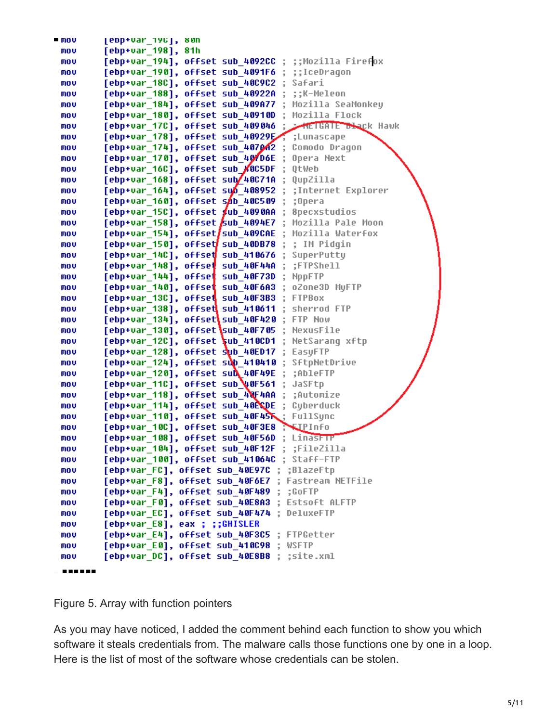| = mov  | edp+var 190 ,<br>8 UN                                            |
|--------|------------------------------------------------------------------|
| mov    | [ebp+var_198],<br>81h                                            |
| mov    | [ebp+var_194], offset sub_4092CC ;<br>;;Mozilla Firefox          |
| mov    | [ebp+var_190], offset sub_4091F6<br>;;IceDragon                  |
| mov    | [ebp+var 18C], offset sub 40C9C2<br>Safari                       |
| mov    | [ebp+var 188], offset sub 40922A<br>::K-Meleon                   |
| mov    | [ebp+var 184], offset sub 409A77<br>Mozilla SeaMonkey            |
| mov    | [ebp+var_180], offset sub_40910D<br>Mozilla Flock                |
| mov    | [ebp+var_17C], offset sub 409046<br><b>METGATE Black Hawk</b>    |
| mov    | [ebp+var 178], offset sub 40929E<br>;Lunascape                   |
| mov    | [ebp+var_174], offset sub_407042<br>Comodo Dragon                |
| mov    | [ebp+var_170], offset sub 40/D6E<br>Opera Next                   |
| mov    | [ebp+var_16C], offset sub_#0C5DF<br>QtWeb                        |
| mov    | [ebp+var_168], offset sub/40C71A<br>QupZilla                     |
| mov    | [ebp+var_164], offset sub_408952<br>;Internet Explorer           |
| mov    | offset sob 40C509<br>[ebp+var_160],<br>;Opera                    |
| mov    | 8pecxstudios<br>[ebp+var_15C],<br>offset \$ub_4090AA             |
| mov    | Mozilla Pale Moon<br>$[$ ebp+var $_1$ 158],<br>offset sub_4094E7 |
| mov    | $[$ ebp+var $_1$ 154],<br>Mozilla Waterfox<br>offset/sub_409CAE  |
| mov    | [ebp+var_150],<br>offset sub 400B78<br>; IM Pidqin               |
| mov    | [ebp+var_14C],<br>SuperPutty<br>offset sub 410676                |
| mov    | ;FTPShell<br>[ebp+var_148],<br>offset sub 40F44A                 |
| mov    | [ebp+var_144],<br>offset<br>sub 40F73D<br><b>NppFTP</b>          |
| mov    | [ebp+var 140],<br>offset sub 40F6A3<br>oZone3D MyFTP             |
| mov    | [ebp+var 13C],<br>offset sub 40F3B3<br><b>FTPBox</b>             |
| mov    | [ebp+var_138],<br>sherrod FTP<br>offset sub 410611               |
| mov    | [ebp+var 134],<br>offset sub 40F420<br>FTP Now                   |
| mov    | [ebp+var_130],<br>NexusFile<br>offset sub 40F705                 |
| mov    | [ebp+var_12C],<br>offset sub 410CD1<br>NetSarang xftp            |
| mov    | [ebp+var 128], offset sub 40ED17<br>EasyFTP                      |
| mov    | [ebp+var_124], offset sup_410410<br>SftpNetDrive                 |
| mov    | [ebp+var 120], offset sud 40F49E<br>;AbleFTP                     |
| mov    | [ebp+var_11C], offset sub ↓0F561<br>JaSFtp                       |
| mov    | [ebp+var 118], offset sub 40F4AA<br>;Automize                    |
| mov    | [ebp+var_114], offset sub_40ECDE<br>Cyberduck                    |
| mov    | [ebp+var 110], offset sub 40F45下<br>FullSync                     |
| mov    | [ebp+var_10C], offset sub_40F3E8<br><b>WIPInfo</b>               |
| mov    | [ebp+var 108], offset sub 40F56D<br><b>LinasFTP</b>              |
| MOV    | [ebp+var_104], offset sub_40F12F ; ;FileZilla                    |
| mov    | [ebp+var_100], offset sub_41064C ; Staff-FTP                     |
| mov    | [ebp+var FC], offset sub 40E97C ; ;BlazeFtp                      |
| mov    | [ebp+var_F8], offset sub_40F6E7 ; Fastream NETFile               |
| mov    | [ebp+var F4], offset sub 40F489 ;<br>;GoFTP                      |
| mov    | [ebp+var_F0], offset sub_40E8A3 ;<br><b>Estsoft ALFTP</b>        |
| mov    | [ebp+var_EC], offset sub 40F474 ; DeluxeFTP                      |
| MOV    | [ebp+var_E8], eax ; ;;GHISLER                                    |
| mov    | [ebp+var E4], offset sub 40F3C5 ; FTPGetter                      |
| mov    | [ebp+var_E0], offset sub_410C98 ; WSFTP                          |
| mov    | [ebp+var DC], offset sub 40E8B8 ; ;site.xml                      |
| ------ |                                                                  |

#### Figure 5. Array with function pointers

As you may have noticed, I added the comment behind each function to show you which software it steals credentials from. The malware calls those functions one by one in a loop. Here is the list of most of the software whose credentials can be stolen.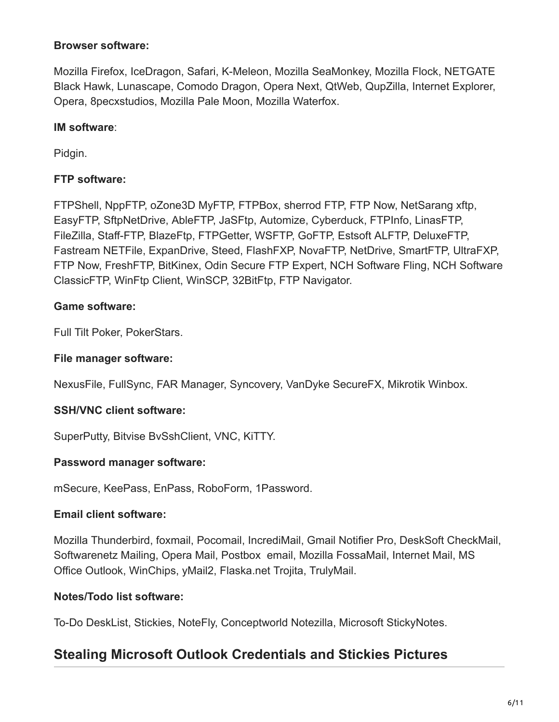#### **Browser software:**

Mozilla Firefox, IceDragon, Safari, K-Meleon, Mozilla SeaMonkey, Mozilla Flock, NETGATE Black Hawk, Lunascape, Comodo Dragon, Opera Next, QtWeb, QupZilla, Internet Explorer, Opera, 8pecxstudios, Mozilla Pale Moon, Mozilla Waterfox.

#### **IM software**:

Pidgin.

#### **FTP software:**

FTPShell, NppFTP, oZone3D MyFTP, FTPBox, sherrod FTP, FTP Now, NetSarang xftp, EasyFTP, SftpNetDrive, AbleFTP, JaSFtp, Automize, Cyberduck, FTPInfo, LinasFTP, FileZilla, Staff-FTP, BlazeFtp, FTPGetter, WSFTP, GoFTP, Estsoft ALFTP, DeluxeFTP, Fastream NETFile, ExpanDrive, Steed, FlashFXP, NovaFTP, NetDrive, SmartFTP, UltraFXP, FTP Now, FreshFTP, BitKinex, Odin Secure FTP Expert, NCH Software Fling, NCH Software ClassicFTP, WinFtp Client, WinSCP, 32BitFtp, FTP Navigator.

#### **Game software:**

Full Tilt Poker, PokerStars.

#### **File manager software:**

NexusFile, FullSync, FAR Manager, Syncovery, VanDyke SecureFX, Mikrotik Winbox.

#### **SSH/VNC client software:**

SuperPutty, Bitvise BvSshClient, VNC, KiTTY.

#### **Password manager software:**

mSecure, KeePass, EnPass, RoboForm, 1Password.

#### **Email client software:**

Mozilla Thunderbird, foxmail, Pocomail, IncrediMail, Gmail Notifier Pro, DeskSoft CheckMail, Softwarenetz Mailing, Opera Mail, Postbox email, Mozilla FossaMail, Internet Mail, MS Office Outlook, WinChips, yMail2, Flaska.net Trojita, TrulyMail.

#### **Notes/Todo list software:**

To-Do DeskList, Stickies, NoteFly, Conceptworld Notezilla, Microsoft StickyNotes.

### **Stealing Microsoft Outlook Credentials and Stickies Pictures**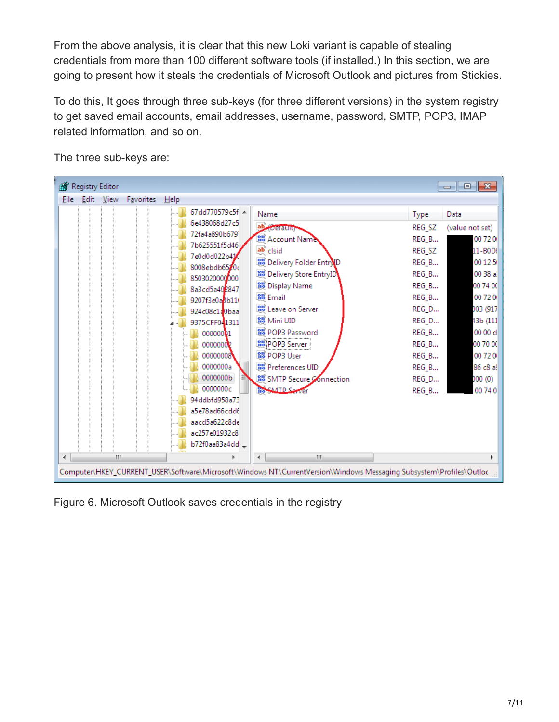From the above analysis, it is clear that this new Loki variant is capable of stealing credentials from more than 100 different software tools (if installed.) In this section, we are going to present how it steals the credentials of Microsoft Outlook and pictures from Stickies.

To do this, It goes through three sub-keys (for three different versions) in the system registry to get saved email accounts, email addresses, username, password, SMTP, POP3, IMAP related information, and so on.

| $\begin{array}{c c c c c c} \hline \multicolumn{3}{c }{\mathbf{C}} & \multicolumn{3}{c }{\mathbf{C}} & \multicolumn{3}{c }{\mathbf{X}} \\\hline \multicolumn{3}{c }{\mathbf{C}} & \multicolumn{3}{c }{\mathbf{D}} & \multicolumn{3}{c }{\mathbf{X}} \\\hline \multicolumn{3}{c }{\mathbf{C}} & \multicolumn{3}{c }{\mathbf{D}} & \multicolumn{3}{c }{\mathbf{X}} \\\hline \multicolumn{3}{c }{\mathbf{D}} & \multicolumn{3}{c }{\mathbf{D}} & \multicolumn$<br>Registry Editor |                                                                                                                     |             |           |      |                                |  |                                                       |                |                     |
|--------------------------------------------------------------------------------------------------------------------------------------------------------------------------------------------------------------------------------------------------------------------------------------------------------------------------------------------------------------------------------------------------------------------------------------------------------------------------------|---------------------------------------------------------------------------------------------------------------------|-------------|-----------|------|--------------------------------|--|-------------------------------------------------------|----------------|---------------------|
| File:                                                                                                                                                                                                                                                                                                                                                                                                                                                                          | Edit                                                                                                                | <b>View</b> | Favorites | Help |                                |  |                                                       |                |                     |
|                                                                                                                                                                                                                                                                                                                                                                                                                                                                                |                                                                                                                     |             |           |      | 67dd770579c5f A                |  | Name                                                  | <b>Type</b>    | Data                |
|                                                                                                                                                                                                                                                                                                                                                                                                                                                                                |                                                                                                                     |             |           |      | 6e438068d27c5                  |  | ab) (Default)                                         | REG SZ         | (value not set)     |
|                                                                                                                                                                                                                                                                                                                                                                                                                                                                                |                                                                                                                     |             |           |      | 72fa4a890b679<br>7b625551f5d46 |  | <b>Big</b> Account Name                               | REG_B          | 00 72 0             |
|                                                                                                                                                                                                                                                                                                                                                                                                                                                                                |                                                                                                                     |             |           |      | 7e0d0d022b41                   |  | ab clsid                                              | REG_SZ         | 11-B0D(             |
|                                                                                                                                                                                                                                                                                                                                                                                                                                                                                |                                                                                                                     |             |           |      | 8008ebdb6520c                  |  | Delivery Folder Entry D                               | REG_B          | 00 12 5             |
|                                                                                                                                                                                                                                                                                                                                                                                                                                                                                |                                                                                                                     |             |           |      | 8503020000000                  |  | Delivery Store EntryID                                | REG_B          | 00 38 al            |
|                                                                                                                                                                                                                                                                                                                                                                                                                                                                                |                                                                                                                     |             |           |      | 8a3cd5a402847                  |  | <b>Big</b> Display Name                               | REG_B          | 00 74 00            |
|                                                                                                                                                                                                                                                                                                                                                                                                                                                                                |                                                                                                                     |             |           |      | 9207f3e0a8b11                  |  | <b>Pro</b> Email                                      | REG_B          | 00 72 0             |
|                                                                                                                                                                                                                                                                                                                                                                                                                                                                                |                                                                                                                     |             |           |      | 924c08c1a0baa                  |  | <b>Big</b> Leave on Server                            | REG_D          | 003 (917)           |
|                                                                                                                                                                                                                                                                                                                                                                                                                                                                                |                                                                                                                     |             |           |      | 9375CFF041311                  |  | <mark>ใช้</mark> Mini UID<br><b>Big</b> POP3 Password | REG_D          | 43b (111            |
|                                                                                                                                                                                                                                                                                                                                                                                                                                                                                |                                                                                                                     |             |           |      | 00000001<br>00000002           |  | <b>BUPOP3</b> Server                                  | REG_B<br>REG_B | 00 00 d<br>00 70 OC |
|                                                                                                                                                                                                                                                                                                                                                                                                                                                                                |                                                                                                                     |             |           |      | 00000008                       |  | ให้ใ POP3 User                                        | REG_B          | 00 72 0             |
|                                                                                                                                                                                                                                                                                                                                                                                                                                                                                |                                                                                                                     |             |           |      | 0000000a                       |  | Preferences UID                                       | REG_B          | 86 c8 all           |
|                                                                                                                                                                                                                                                                                                                                                                                                                                                                                |                                                                                                                     |             |           |      | 0000000b                       |  | <b>BU</b> SMTP Secure Connection                      | REG_D          | 000(0)              |
|                                                                                                                                                                                                                                                                                                                                                                                                                                                                                |                                                                                                                     |             |           |      | 0000000c                       |  | <b>Mo SMTP Server</b>                                 | REG_B          | 00 74 0             |
|                                                                                                                                                                                                                                                                                                                                                                                                                                                                                |                                                                                                                     |             |           |      | 94ddbfd958a73                  |  |                                                       |                |                     |
|                                                                                                                                                                                                                                                                                                                                                                                                                                                                                |                                                                                                                     |             |           |      | a5e78ad66cdd6                  |  |                                                       |                |                     |
|                                                                                                                                                                                                                                                                                                                                                                                                                                                                                |                                                                                                                     |             |           |      | aacd5a622c8de                  |  |                                                       |                |                     |
|                                                                                                                                                                                                                                                                                                                                                                                                                                                                                |                                                                                                                     |             |           |      | ac257e01932c8                  |  |                                                       |                |                     |
|                                                                                                                                                                                                                                                                                                                                                                                                                                                                                |                                                                                                                     |             |           |      | b72f0aa83a4dd_                 |  |                                                       |                |                     |
| $\leftarrow$                                                                                                                                                                                                                                                                                                                                                                                                                                                                   |                                                                                                                     | Ш           |           |      |                                |  | m,<br>∢                                               |                |                     |
|                                                                                                                                                                                                                                                                                                                                                                                                                                                                                | Computer\HKEY_CURRENT_USER\Software\Microsoft\Windows NT\CurrentVersion\Windows Messaging Subsystem\Profiles\Outloc |             |           |      |                                |  |                                                       |                |                     |

The three sub-keys are:

Figure 6. Microsoft Outlook saves credentials in the registry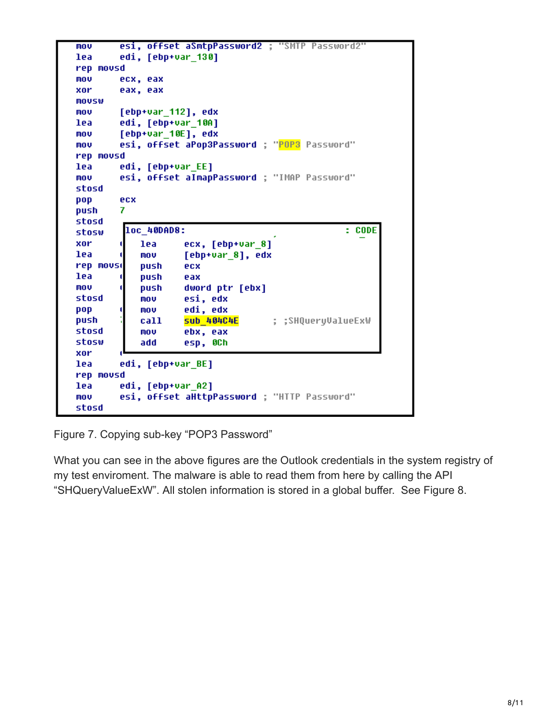```
esi, offset aSmtpPassword2 ; "SMTP Password2"
mov
lea
        edi, [ebp+var_130]
rep movsd
mou
        ecx, eax
        eax, eax
xor
MOVSW
mov
        [ebp+var_112], edx
        edi, [ebp+var_10A]
lea
        [ebp+var_10E], edx
mou
        esi, offset aPop3Password ; "POP3 Password"
mov
rep movsd
lea
        edi, [ebp+var_EE]
        esi, offset aImapPassword ; "IMAP Password"
mov
stosd
pop
        ecx
        7
push
stosd
         loc_40DAD8:
                                                    : CODEstosw
xor
                    ecx, [ebp+var_8]
            lea
lea
                     [ebp+var_8], edx
            mov
rep mousi
            push
                    ecx
lea
            push
                    eax
mov
                    dword ptr [ebx]
            push
stosd
            mov
                    esi, edx
pop
            MOV
                    edi, edx
push
                    Sub 404C4E
                                     ; ; SHQueryValueExW
            call
stosd
            mov
                    ebx, eax
stosw
            add
                    esp, OCh
xor
        edi, [ebp+var_BE]
lea
rep movsd
        edi, [ebp+var_A2]
lea
        esi, offset aHttpPassword ; "HTTP Password"
mov
stosd
```
Figure 7. Copying sub-key "POP3 Password"

What you can see in the above figures are the Outlook credentials in the system registry of my test enviroment. The malware is able to read them from here by calling the API "SHQueryValueExW". All stolen information is stored in a global buffer. See Figure 8.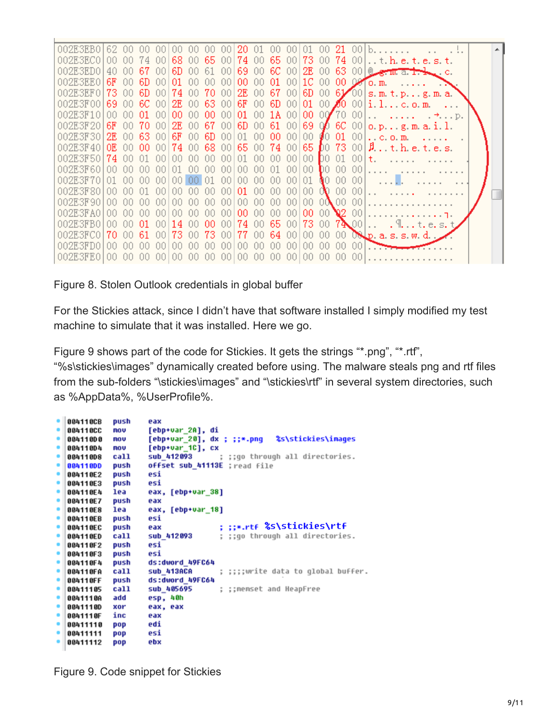

Figure 8. Stolen Outlook credentials in global buffer

For the Stickies attack, since I didn't have that software installed I simply modified my test machine to simulate that it was installed. Here we go.

Figure 9 shows part of the code for Stickies. It gets the strings "\*.png", "\*.rtf",

"%s\stickies\images" dynamically created before using. The malware steals png and rtf files from the sub-folders "\stickies\images" and "\stickies\rtf" in several system directories, such as %AppData%, %UserProfile%.

|   | 884118CB | push       | eax                                                     |
|---|----------|------------|---------------------------------------------------------|
|   | 004110CC | <b>NOV</b> | [ebp+var 2A], di                                        |
| ۰ | 004110D0 | no v       |                                                         |
|   | 004110D4 | MOV        | [ebp+var_1C], cx                                        |
|   | 004110D8 | call       | sub_412093 ; ;;go through all directories.              |
|   | 884118DD | push       | offset sub 41113E ; read file                           |
|   | 004110E2 | push       | esi                                                     |
|   | 004110E3 | push       | esi                                                     |
|   | 004110E4 | lea        | eax, [ebp+var 38]                                       |
| ۰ | 884118E7 | push       | eax                                                     |
| ٠ | 004110E8 | lea        | eax, [ebp+var 18]                                       |
|   | 004110EB | push       | esi                                                     |
|   | 004110EC | push       | : ::*.rtf %S\stickies\rtf<br>eax                        |
|   | 004110ED | call       | ; ;;go through all directories.<br>sub 412093           |
| ۰ | 004110F2 | push       | esi                                                     |
|   | 004110F3 | push       | esi                                                     |
| ٠ | 004110F4 | push       | ds:dword 49FC64                                         |
| ۰ | 884118FA | call       | ; ;;;;write data to global buffer.<br><b>SUb 413ACA</b> |
|   | 884118FF | push       | ds:dword 49FC64                                         |
|   | 88411185 | call       | sub 405695<br>; ;;memset and HeapFree                   |
|   | 0041110A | add        | esp, 40h                                                |
| ۰ | 0041110D | xor        | eax, eax                                                |
| ۰ | 0041110F | inc        | eax                                                     |
| ۰ | 88411118 | pop        | edi                                                     |
|   | 88411111 | pop        | esi                                                     |
|   | 88411112 | pop        | ebx                                                     |
|   |          |            |                                                         |

Figure 9. Code snippet for Stickies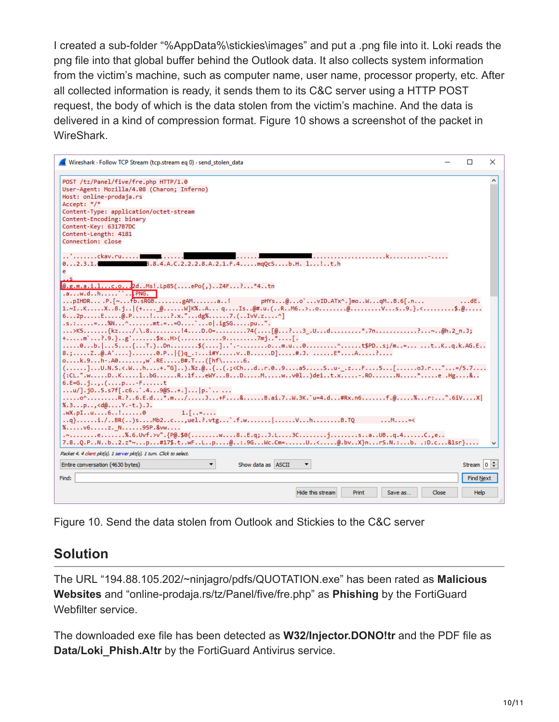I created a sub-folder "%AppData%\stickies\images" and put a .png file into it. Loki reads the png file into that global buffer behind the Outlook data. It also collects system information from the victim's machine, such as computer name, user name, processor property, etc. After all collected information is ready, it sends them to its C&C server using a HTTP POST request, the body of which is the data stolen from the victim's machine. And the data is delivered in a kind of compression format. Figure 10 shows a screenshot of the packet in WireShark.



Figure 10. Send the data stolen from Outlook and Stickies to the C&C server

### **Solution**

The URL "194.88.105.202/~ninjagro/pdfs/QUOTATION.exe" has been rated as **Malicious Websites** and "online-prodaja.rs/tz/Panel/five/fre.php" as **Phishing** by the FortiGuard Webfilter service.

The downloaded exe file has been detected as **W32/Injector.DONO!tr** and the PDF file as **Data/Loki\_Phish.A!tr** by the FortiGuard Antivirus service.